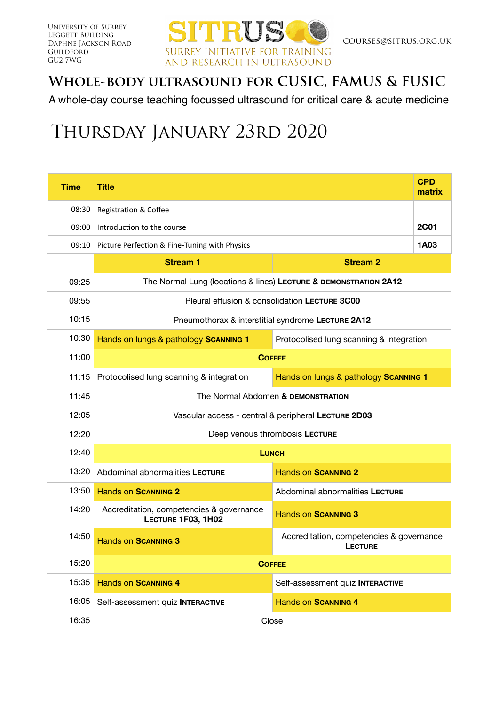

## **Whole-body ultrasound for CUSIC, FAMUS & FUSIC**

A whole-day course teaching focussed ultrasound for critical care & acute medicine

## Thursday January 23rd 2020

| <b>Time</b> | <b>Title</b>                                                     |                                                            | <b>CPD</b><br>matrix |  |  |  |
|-------------|------------------------------------------------------------------|------------------------------------------------------------|----------------------|--|--|--|
| 08:30       | Registration & Coffee                                            |                                                            |                      |  |  |  |
| 09:00       | Introduction to the course                                       |                                                            |                      |  |  |  |
|             | 09:10 Picture Perfection & Fine-Tuning with Physics              |                                                            |                      |  |  |  |
|             | <b>Stream 1</b><br><b>Stream 2</b>                               |                                                            |                      |  |  |  |
| 09:25       | The Normal Lung (locations & lines) LECTURE & DEMONSTRATION 2A12 |                                                            |                      |  |  |  |
| 09:55       | Pleural effusion & consolidation LECTURE 3C00                    |                                                            |                      |  |  |  |
| 10:15       | Pneumothorax & interstitial syndrome LECTURE 2A12                |                                                            |                      |  |  |  |
| 10:30       | Hands on lungs & pathology SCANNING 1                            | Protocolised lung scanning & integration                   |                      |  |  |  |
| 11:00       | <b>COFFEE</b>                                                    |                                                            |                      |  |  |  |
| 11:15       | Protocolised lung scanning & integration                         | Hands on lungs & pathology SCANNING 1                      |                      |  |  |  |
| 11:45       | The Normal Abdomen & DEMONSTRATION                               |                                                            |                      |  |  |  |
| 12:05       | Vascular access - central & peripheral LECTURE 2D03              |                                                            |                      |  |  |  |
| 12:20       | Deep venous thrombosis LECTURE                                   |                                                            |                      |  |  |  |
| 12:40       | <b>LUNCH</b>                                                     |                                                            |                      |  |  |  |
| 13:20       | Abdominal abnormalities LECTURE                                  | <b>Hands on SCANNING 2</b>                                 |                      |  |  |  |
| 13:50       | <b>Hands on SCANNING 2</b>                                       | Abdominal abnormalities LECTURE                            |                      |  |  |  |
| 14:20       | Accreditation, competencies & governance<br>LECTURE 1F03, 1H02   | <b>Hands on SCANNING 3</b>                                 |                      |  |  |  |
| 14:50       | <b>Hands on SCANNING 3</b>                                       | Accreditation, competencies & governance<br><b>LECTURE</b> |                      |  |  |  |
| 15:20       | <b>COFFEE</b>                                                    |                                                            |                      |  |  |  |
| 15:35       | <b>Hands on SCANNING 4</b>                                       | Self-assessment quiz INTERACTIVE                           |                      |  |  |  |
| 16:05       | Self-assessment quiz INTERACTIVE                                 | <b>Hands on SCANNING 4</b>                                 |                      |  |  |  |
| 16:35       | Close                                                            |                                                            |                      |  |  |  |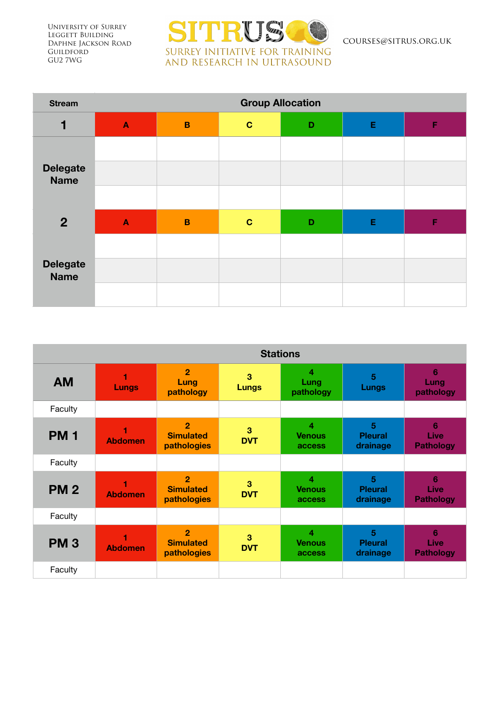University of Surrey Leggett Building Daphne Jackson Road **GUILDFORD** GU2 7WG



courses@sitrus.org.uk

| <b>Stream</b>                  | <b>Group Allocation</b> |                |             |   |   |   |
|--------------------------------|-------------------------|----------------|-------------|---|---|---|
| 1                              | $\blacktriangle$        | $\overline{B}$ | $\mathbf C$ | D | Е | F |
|                                |                         |                |             |   |   |   |
| <b>Delegate</b><br><b>Name</b> |                         |                |             |   |   |   |
|                                |                         |                |             |   |   |   |
| 2 <sup>2</sup>                 | $\blacktriangle$        | $\mathbf B$    | $\mathbf C$ | D | Е | F |
|                                |                         |                |             |   |   |   |
| <b>Delegate</b><br><b>Name</b> |                         |                |             |   |   |   |
|                                |                         |                |             |   |   |   |

|            | <b>Stations</b> |                                                   |                   |                                           |                                 |                               |
|------------|-----------------|---------------------------------------------------|-------------------|-------------------------------------------|---------------------------------|-------------------------------|
| <b>AM</b>  | <b>Lungs</b>    | $\overline{2}$<br>Lung<br>pathology               | 3<br><b>Lungs</b> | 4<br>Lung<br>pathology                    | $\overline{5}$<br>Lungs         | 6<br>Lung<br>pathology        |
| Faculty    |                 |                                                   |                   |                                           |                                 |                               |
| <b>PM1</b> | <b>Abdomen</b>  | $\overline{2}$<br><b>Simulated</b><br>pathologies | 3<br><b>DVT</b>   | $\overline{4}$<br><b>Venous</b><br>access | 5<br><b>Pleural</b><br>drainage | 6<br>Live<br><b>Pathology</b> |
| Faculty    |                 |                                                   |                   |                                           |                                 |                               |
| <b>PM2</b> | <b>Abdomen</b>  | $\overline{2}$<br><b>Simulated</b><br>pathologies | 3<br><b>DVT</b>   | 4<br><b>Venous</b><br>access              | 5<br><b>Pleural</b><br>drainage | 6<br>Live<br><b>Pathology</b> |
| Faculty    |                 |                                                   |                   |                                           |                                 |                               |
| <b>PM3</b> | <b>Abdomen</b>  | $\overline{2}$<br><b>Simulated</b><br>pathologies | 3<br><b>DVT</b>   | 4<br><b>Venous</b><br>access              | 5<br><b>Pleural</b><br>drainage | 6<br>Live<br><b>Pathology</b> |
| Faculty    |                 |                                                   |                   |                                           |                                 |                               |